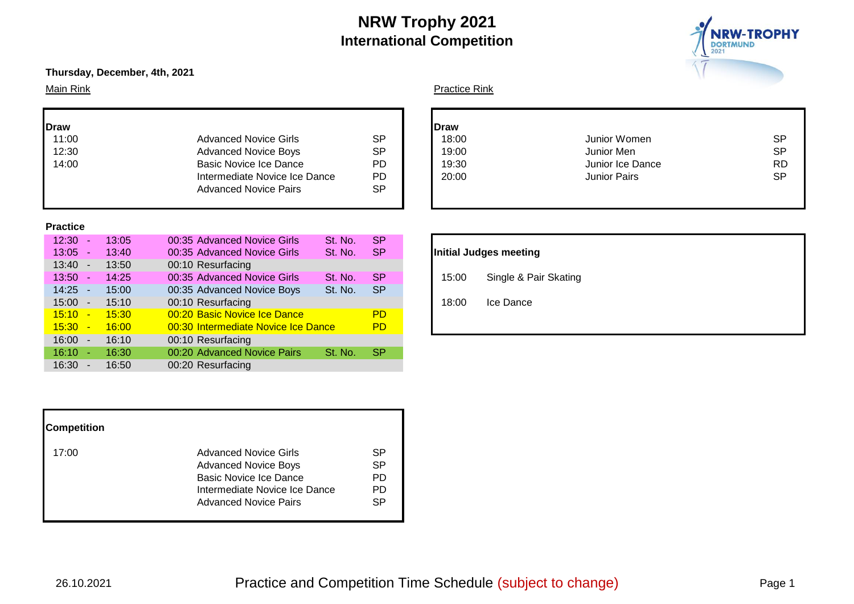

# **Thursday, December, 4th, 2021**

| <b>Draw</b> |                               |           | Draw |
|-------------|-------------------------------|-----------|------|
| 11:00       | <b>Advanced Novice Girls</b>  | SP        | 18:  |
| 12:30       | <b>Advanced Novice Boys</b>   | SP        | 19:0 |
| 14:00       | <b>Basic Novice Ice Dance</b> | PD        | 19:3 |
|             | Intermediate Novice Ice Dance | PD        | 20:  |
|             | <b>Advanced Novice Pairs</b>  | <b>SP</b> |      |
|             |                               |           |      |

#### **Practice**

| $12:30 -$        |                          | 13:05 | 00:35 Advanced Novice Girls         | St. No. | <b>SP</b> |                       |
|------------------|--------------------------|-------|-------------------------------------|---------|-----------|-----------------------|
| $13:05 -$        |                          | 13:40 | 00:35 Advanced Novice Girls         | St. No. | SP.       | Initial Judges meetin |
| $13:40 -$        |                          | 13:50 | 00:10 Resurfacing                   |         |           |                       |
| $13:50 -$        |                          | 14:25 | 00:35 Advanced Novice Girls         | St. No. | <b>SP</b> | Single & F<br>15:00   |
| $14:25 -$        |                          | 15:00 | 00:35 Advanced Novice Boys          | St. No. | <b>SP</b> |                       |
| $15:00 -$        |                          | 15:10 | 00:10 Resurfacing                   |         |           | 18:00<br>Ice Dance    |
| 15:10            |                          | 15:30 | 00:20 Basic Novice Ice Dance        |         | <b>PD</b> |                       |
| <u> 15:30 - </u> |                          | 16:00 | 00:30 Intermediate Novice Ice Dance |         | <b>PD</b> |                       |
| 16:00<br>$\sim$  |                          | 16:10 | 00:10 Resurfacing                   |         |           |                       |
| 16:10            | $\sim$                   | 16:30 | 00:20 Advanced Novice Pairs         | St. No. | <b>SP</b> |                       |
| 16:30            | $\overline{\phantom{a}}$ | 16:50 | 00:20 Resurfacing                   |         |           |                       |

| <b>Competition</b> |                                                                                                                                                        |                            |
|--------------------|--------------------------------------------------------------------------------------------------------------------------------------------------------|----------------------------|
| 17:00              | <b>Advanced Novice Girls</b><br><b>Advanced Novice Boys</b><br>Basic Novice Ice Dance<br>Intermediate Novice Ice Dance<br><b>Advanced Novice Pairs</b> | SP<br>SP<br>PD<br>PD<br>SP |

# Main Rink **Practice Rink** Practice Rink

| raw   |                               |           | <b>I</b> Draw |                     |           |
|-------|-------------------------------|-----------|---------------|---------------------|-----------|
| 11:00 | <b>Advanced Novice Girls</b>  | <b>SP</b> | 18:00         | Junior Women        | <b>SP</b> |
| 12:30 | <b>Advanced Novice Boys</b>   | <b>SP</b> | 19:00         | Junior Men          | <b>SP</b> |
| 14:00 | Basic Novice Ice Dance        | PD        | 19:30         | Junior Ice Dance    | <b>RD</b> |
|       | Intermediate Novice Ice Dance | <b>PD</b> | 20:00         | <b>Junior Pairs</b> | <b>SP</b> |
|       | <b>Advanced Novice Pairs</b>  | <b>SP</b> |               |                     |           |
|       |                               |           |               |                     |           |

# **Initial Judges meeting** 15:00 Single & Pair Skating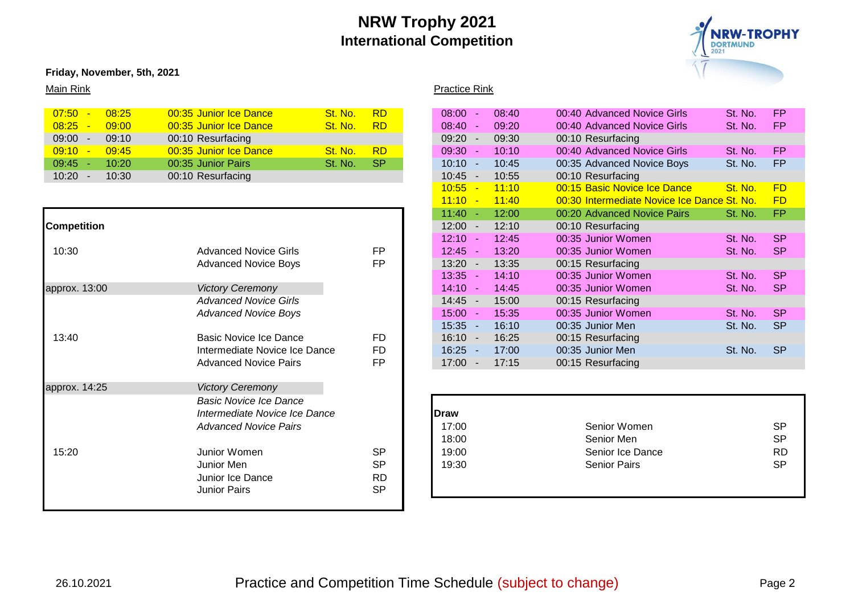

# **Friday, November, 5th, 2021**

# Main Rink **Practice Rink** Practice Rink

| $07:50 -$ | 08:25 | 00:35 Junior Ice Dance | <b>RD</b><br>St. No. | 08:00     | 08:40 | 00:40 Advanced Novice Girls | <b>FP</b><br>St. No. |
|-----------|-------|------------------------|----------------------|-----------|-------|-----------------------------|----------------------|
| 08:25     | 09:00 | 00:35 Junior Ice Dance | St. No.<br><b>RD</b> | $08:40 -$ | 09:20 | 00:40 Advanced Novice Girls | <b>FP</b><br>St. No. |
| $09:00 -$ | 09:10 | 00:10 Resurfacing      |                      | $09:20 -$ | 09:30 | 00:10 Resurfacing           |                      |
| $09:10 -$ | 09:45 | 00:35 Junior Ice Dance | <b>RD</b><br>St. No. | 09:30     | 10:10 | 00:40 Advanced Novice Girls | <b>FP</b><br>St. No. |
| $09:45 -$ | 10:20 | 00:35 Junior Pairs     | St. No.<br>SP.       | $10:10 -$ | 10:45 | 00:35 Advanced Novice Boys  | <b>FP</b><br>St. No. |
| $10:20 -$ | 10:30 | 00:10 Resurfacing      |                      | 10:45     | 10:55 | 00:10 Resurfacing           |                      |
|           |       |                        |                      |           |       |                             |                      |

|                    |                               |           | $11:40 -$<br>12:00         | 00:20 Advanced Novice Pairs | St. No. | <b>FP</b> |
|--------------------|-------------------------------|-----------|----------------------------|-----------------------------|---------|-----------|
| <b>Competition</b> |                               |           | 12:00<br>12:10             | 00:10 Resurfacing           |         |           |
|                    |                               |           | $12:10 -$<br>12:45         | 00:35 Junior Women          | St. No. | <b>SP</b> |
| 10:30              | <b>Advanced Novice Girls</b>  | <b>FP</b> | $12:45 -$<br>13:20         | 00:35 Junior Women          | St. No. | <b>SP</b> |
|                    | <b>Advanced Novice Boys</b>   | FP        | $13:20 -$<br>13:35         | 00:15 Resurfacing           |         |           |
|                    |                               |           | $13:35 -$<br>14:10         | 00:35 Junior Women          | St. No. | <b>SP</b> |
| approx. 13:00      | <b>Victory Ceremony</b>       |           | $14:10 -$<br>14:45         | 00:35 Junior Women          | St. No. | <b>SP</b> |
|                    | <b>Advanced Novice Girls</b>  |           | $14:45 -$<br>15:00         | 00:15 Resurfacing           |         |           |
|                    | <b>Advanced Novice Boys</b>   |           | 15:00<br>15:35<br><b>.</b> | 00:35 Junior Women          | St. No. | <b>SP</b> |
|                    |                               |           | $15:35 -$<br>16:10         | 00:35 Junior Men            | St. No. | <b>SP</b> |
| 13:40              | Basic Novice Ice Dance        | FD        | $16:10 -$<br>16:25         | 00:15 Resurfacing           |         |           |
|                    | Intermediate Novice Ice Dance | <b>FD</b> | $16:25 -$<br>17:00         | 00:35 Junior Men            | St. No. | <b>SP</b> |
|                    | <b>Advanced Novice Pairs</b>  | <b>FP</b> | $17:00 -$<br>17:15         | 00:15 Resurfacing           |         |           |
| approx. 14:25      | <b>Victory Ceremony</b>       |           |                            |                             |         |           |
|                    | <b>Basic Novice Ice Dance</b> |           |                            |                             |         |           |
|                    | Intermediate Novice Ice Dance |           | <b>Draw</b>                |                             |         |           |
|                    | <b>Advanced Novice Pairs</b>  |           | 17:00                      | Senior Women                |         | <b>SP</b> |
|                    |                               |           | 18:00                      | Senior Men                  |         | <b>SP</b> |
| 15:20              | Junior Women                  | <b>SP</b> | 19:00                      | Senior Ice Dance            |         | <b>RD</b> |
|                    | Junior Men                    | <b>SP</b> | 19:30                      | <b>Senior Pairs</b>         |         | <b>SP</b> |
|                    | Junior Ice Dance              | <b>RD</b> |                            |                             |         |           |
|                    | <b>Junior Pairs</b>           | <b>SP</b> |                            |                             |         |           |
|                    |                               |           |                            |                             |         |           |

| <mark>07:50 -</mark> | 08:25 | 00:35 Junior Ice Dance        | St. No. | <b>RD</b> | $08:00 -$                         | 08:40 | 00:40 Advanced Novice Girls                 | St. No. | <b>FP</b> |
|----------------------|-------|-------------------------------|---------|-----------|-----------------------------------|-------|---------------------------------------------|---------|-----------|
| 08:25                | 09:00 | 00:35 Junior Ice Dance        | St. No. | <b>RD</b> | $08:40 -$                         | 09:20 | 00:40 Advanced Novice Girls                 | St. No. | <b>FP</b> |
| 09:00 -              | 09:10 | 00:10 Resurfacing             |         |           | $09:20 -$                         | 09:30 | 00:10 Resurfacing                           |         |           |
| <mark>09:10 -</mark> | 09:45 | 00:35 Junior Ice Dance        | St. No. | RD        | 09:30 -                           | 10:10 | 00:40 Advanced Novice Girls                 | St. No. | <b>FP</b> |
| $09:45 -$            | 10:20 | 00:35 Junior Pairs            | St. No. | <b>SP</b> | $10:10 -$                         | 10:45 | 00:35 Advanced Novice Boys                  | St. No. | FP        |
| $10:20 -$            | 10:30 | 00:10 Resurfacing             |         |           | $10:45 -$                         | 10:55 | 00:10 Resurfacing                           |         |           |
|                      |       |                               |         |           | $10:55 -$                         | 11:10 | 00:15 Basic Novice Ice Dance                | St. No. | <b>FD</b> |
|                      |       |                               |         |           | $11:10 -$                         | 11:40 | 00:30 Intermediate Novice Ice Dance St. No. |         | <b>FD</b> |
|                      |       |                               |         |           | 11:40<br>- 4                      | 12:00 | 00:20 Advanced Novice Pairs                 | St. No. | <b>FP</b> |
| ompetition           |       |                               |         |           | $12:00 -$                         | 12:10 | 00:10 Resurfacing                           |         |           |
|                      |       |                               |         |           | $12:10 -$                         | 12:45 | 00:35 Junior Women                          | St. No. | <b>SP</b> |
| 10:30                |       | <b>Advanced Novice Girls</b>  |         | FP        | $12:45 -$                         | 13:20 | 00:35 Junior Women                          | St. No. | <b>SP</b> |
|                      |       | <b>Advanced Novice Boys</b>   |         | FP        | $13:20 -$                         | 13:35 | 00:15 Resurfacing                           |         |           |
|                      |       |                               |         |           | $13:35 -$                         | 14:10 | 00:35 Junior Women                          | St. No. | <b>SP</b> |
| oprox. 13:00         |       | <b>Victory Ceremony</b>       |         |           | $14:10 -$                         | 14:45 | 00:35 Junior Women                          | St. No. | <b>SP</b> |
|                      |       | <b>Advanced Novice Girls</b>  |         |           | $14:45 -$                         | 15:00 | 00:15 Resurfacing                           |         |           |
|                      |       | <b>Advanced Novice Boys</b>   |         |           | 15:00<br>- 4                      | 15:35 | 00:35 Junior Women                          | St. No. | <b>SP</b> |
|                      |       |                               |         |           | $15:35 -$                         | 16:10 | 00:35 Junior Men                            | St. No. | <b>SP</b> |
| 13:40                |       | Basic Novice Ice Dance        |         | <b>FD</b> | 16:10<br>$\overline{\phantom{a}}$ | 16:25 | 00:15 Resurfacing                           |         |           |
|                      |       | Intermediate Novice Ice Dance |         | FD        | 16:25<br>- 4                      | 17:00 | 00:35 Junior Men                            | St. No. | <b>SP</b> |
|                      |       | <b>Advanced Novice Pairs</b>  |         | <b>FP</b> | $17:00 -$                         | 17:15 | 00:15 Resurfacing                           |         |           |

|       | <b>Basic Novice Ice Dance</b><br>Intermediate Novice Ice Dance |           | <b>IDraw</b> |                     |           |
|-------|----------------------------------------------------------------|-----------|--------------|---------------------|-----------|
|       | <b>Advanced Novice Pairs</b>                                   |           | 17:00        | Senior Women        | <b>SP</b> |
|       |                                                                |           | 18:00        | Senior Men          | <b>SP</b> |
| 15:20 | Junior Women                                                   | <b>SP</b> | 19:00        | Senior Ice Dance    | <b>RD</b> |
|       | Junior Men                                                     | <b>SP</b> | 19:30        | <b>Senior Pairs</b> | <b>SP</b> |
|       | Junior Ice Dance                                               | <b>RD</b> |              |                     |           |
|       | Junior Pairs                                                   | <b>SP</b> |              |                     |           |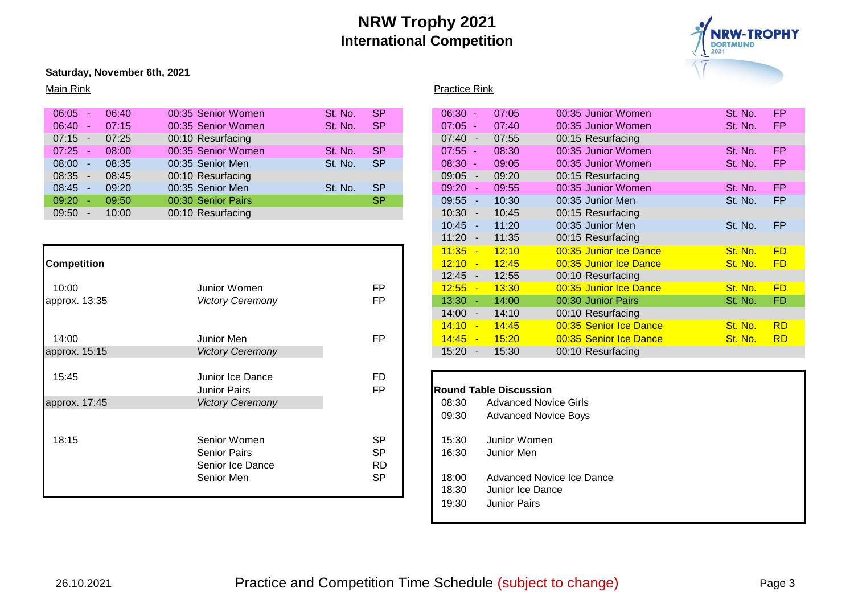

#### **Saturday, November 6th, 2021**

| 06:05     | 06:40 | 00:35 Senior Women | St. No. | <b>SP</b> | $06:30 -$                         | 07:05                      | 00:35 Junior Women                                                                                                           | St. No.              | <b>FP</b> |
|-----------|-------|--------------------|---------|-----------|-----------------------------------|----------------------------|------------------------------------------------------------------------------------------------------------------------------|----------------------|-----------|
| $06:40 -$ | 07:15 | 00:35 Senior Women | St. No. | <b>SP</b> | $07:05 -$                         | 07:40                      | 00:35 Junior Women                                                                                                           | St. No.              | <b>FP</b> |
| $07:15 -$ | 07:25 | 00:10 Resurfacing  |         |           | 07:40<br>$\overline{\phantom{a}}$ | 07:55                      | 00:15 Resurfacing                                                                                                            |                      |           |
| $07:25 -$ | 08:00 | 00:35 Senior Women | St. No. | <b>SP</b> | $07:55 -$                         | 08:30                      | 00:35 Junior Women                                                                                                           | St. No.              | <b>FP</b> |
| $08:00 -$ | 08:35 | 00:35 Senior Men   | St. No. | <b>SP</b> | $08:30 -$                         | 09:05                      | 00:35 Junior Women                                                                                                           | St. No.              | <b>FP</b> |
| $08:35 -$ | 08:45 | 00:10 Resurfacing  |         |           | 09:05<br>$\overline{\phantom{a}}$ | 09:20                      | 00:15 Resurfacing                                                                                                            |                      |           |
| $08:45 -$ | 09:20 | 00:35 Senior Men   | St. No. | <b>SP</b> | 09:20<br><b>CONTRACT</b>          | 09:55                      | 00:35 Junior Women                                                                                                           | St. No.              | <b>FP</b> |
| $09:20 -$ | 09:50 | 00:30 Senior Pairs |         | <b>SP</b> | 09:55<br>$\sim$                   | 10:30                      | 00:35 Junior Men                                                                                                             | St. No.              | <b>FP</b> |
| $09:50 -$ | 10:00 | 00:10 Resurfacing  |         |           | 10:30<br>$\sim$                   | 10:45                      | 00:15 Resurfacing                                                                                                            |                      |           |
|           |       |                    |         |           | $\sqrt{2}$                        | $\lambda$ $\lambda$ $\sim$ | $\bigcap_{n=1}^{\infty}$ $\bigcap_{n=1}^{\infty}$ $\bigcap_{n=1}^{\infty}$ $\bigcap_{n=1}^{\infty}$ $\bigcap_{n=1}^{\infty}$ | $\sim$ $\sim$ $\sim$ | $-0$      |

|                    |                         |           | 11:35     | 12:10                         | 00:35 Junior Ice Dance       | St. No. | FD              |
|--------------------|-------------------------|-----------|-----------|-------------------------------|------------------------------|---------|-----------------|
| <b>Competition</b> |                         |           | $12:10 -$ | 12:45                         | 00:35 Junior Ice Dance       | St. No. | FD              |
|                    |                         |           | $12:45 -$ | 12:55                         | 00:10 Resurfacing            |         |                 |
| 10:00              | Junior Women            | <b>FP</b> | 12:55     | 13:30                         | 00:35 Junior Ice Dance       | St. No. | FD              |
| approx. 13:35      | <b>Victory Ceremony</b> | FP        | $13:30 -$ | 14:00                         | 00:30 Junior Pairs           | St. No. | FD              |
|                    |                         |           | $14:00 -$ | 14:10                         | 00:10 Resurfacing            |         |                 |
|                    |                         |           | $14:10 -$ | 14:45                         | 00:35 Senior Ice Dance       | St. No. | $\overline{RL}$ |
| 14:00              | Junior Men              | <b>FP</b> | $14:45 -$ | 15:20                         | 00:35 Senior Ice Dance       | St. No. | $\overline{RL}$ |
| approx. 15:15      | <b>Victory Ceremony</b> |           | $15:20 -$ | 15:30                         | 00:10 Resurfacing            |         |                 |
|                    |                         |           |           |                               |                              |         |                 |
| 15:45              | Junior Ice Dance        | <b>FD</b> |           |                               |                              |         |                 |
|                    | <b>Junior Pairs</b>     | <b>FP</b> |           | <b>Round Table Discussion</b> |                              |         |                 |
| approx. 17:45      | <b>Victory Ceremony</b> |           | 08:30     |                               | <b>Advanced Novice Girls</b> |         |                 |
|                    |                         |           | 09:30     |                               | <b>Advanced Novice Boys</b>  |         |                 |
| 18:15              | Senior Women            | <b>SP</b> | 15:30     | Junior Women                  |                              |         |                 |
|                    | <b>Senior Pairs</b>     | <b>SP</b> | 16:30     | Junior Men                    |                              |         |                 |
|                    | Senior Ice Dance        | <b>RD</b> |           |                               |                              |         |                 |
|                    | Senior Men              | <b>SP</b> | 18:00     |                               | Advanced Novice Ice Dance    |         |                 |
|                    |                         |           | 18:30     | Junior Ice Dance              |                              |         |                 |
|                    |                         |           |           |                               |                              |         |                 |

# Main Rink **Practice Rink** Practice Rink

| 06:05<br>06:40             | 00:35 Senior Women      | <b>SP</b><br>St. No. | $06:30 -$                         | 07:05 | 00:35 Junior Women     | St. No. | <b>FP</b>      |
|----------------------------|-------------------------|----------------------|-----------------------------------|-------|------------------------|---------|----------------|
| 06:40<br>07:15<br>$\sim$   | 00:35 Senior Women      | <b>SP</b><br>St. No. | $07:05 -$                         | 07:40 | 00:35 Junior Women     | St. No. | FP.            |
| 07:15<br>07:25<br>$\sim$   | 00:10 Resurfacing       |                      | $07:40 -$                         | 07:55 | 00:15 Resurfacing      |         |                |
| 07:25<br>08:00<br><b>.</b> | 00:35 Senior Women      | <b>SP</b><br>St. No. | $07:55 -$                         | 08:30 | 00:35 Junior Women     | St. No. | <b>FP</b>      |
| 08:00<br>08:35             | 00:35 Senior Men        | <b>SP</b><br>St. No. | $08:30 -$                         | 09:05 | 00:35 Junior Women     | St. No. | FP.            |
| 08:35<br>08:45<br>$\sim$   | 00:10 Resurfacing       |                      | $09:05 -$                         | 09:20 | 00:15 Resurfacing      |         |                |
| 08:45<br>09:20             | 00:35 Senior Men        | <b>SP</b><br>St. No. | 09:20<br>- 4                      | 09:55 | 00:35 Junior Women     | St. No. | <b>FP</b>      |
| $09:20 -$<br>09:50         | 00:30 Senior Pairs      | <b>SP</b>            | 09:55<br>. –                      | 10:30 | 00:35 Junior Men       | St. No. | FP             |
| 09:50<br>10:00<br>$\sim$   | 00:10 Resurfacing       |                      | 10:30<br>$\overline{\phantom{a}}$ | 10:45 | 00:15 Resurfacing      |         |                |
|                            |                         |                      | 10:45                             | 11:20 | 00:35 Junior Men       | St. No. | <b>FP</b>      |
|                            |                         |                      | 11:20<br>$\sim$                   | 11:35 | 00:15 Resurfacing      |         |                |
|                            |                         |                      | 11:35<br>$\overline{\phantom{a}}$ | 12:10 | 00:35 Junior Ice Dance | St. No. | <b>FD</b>      |
| ompetition                 |                         |                      | 12:10                             | 12:45 | 00:35 Junior Ice Dance | St. No. | <b>FD</b>      |
|                            |                         |                      | 12:45<br>$\overline{\phantom{a}}$ | 12:55 | 00:10 Resurfacing      |         |                |
| 10:00                      | Junior Women            | <b>FP</b>            | 12:55<br>$\overline{\phantom{a}}$ | 13:30 | 00:35 Junior Ice Dance | St. No. | <b>FD</b>      |
| pprox. 13:35               | <b>Victory Ceremony</b> | FP                   | 13:30<br>. —                      | 14:00 | 00:30 Junior Pairs     | St. No. | FD.            |
|                            |                         |                      | 14:00<br>$\overline{\phantom{a}}$ | 14:10 | 00:10 Resurfacing      |         |                |
|                            |                         |                      | 14:10<br>$\overline{\phantom{a}}$ | 14:45 | 00:35 Senior Ice Dance | St. No. | <b>RD</b>      |
| 14:00                      | Junior Men              | <b>FP</b>            | 14:45<br><b>Page</b>              | 15:20 | 00:35 Senior Ice Dance | St. No. | RD <sub></sub> |
| oprox. 15:15               | <b>Victory Ceremony</b> |                      | 15:20<br>$\sim$                   | 15:30 | 00:10 Resurfacing      |         |                |
|                            |                         |                      |                                   |       |                        |         |                |

# **Round Table Discussion** 08:30 Advanced Novice Girls 09:30 Advanced Novice Boys 15:30 Junior Women 16:30 Junior Men 18:00 Advanced Novice Ice Dance 18:30 Junior Ice Dance

19:30 Junior Pairs